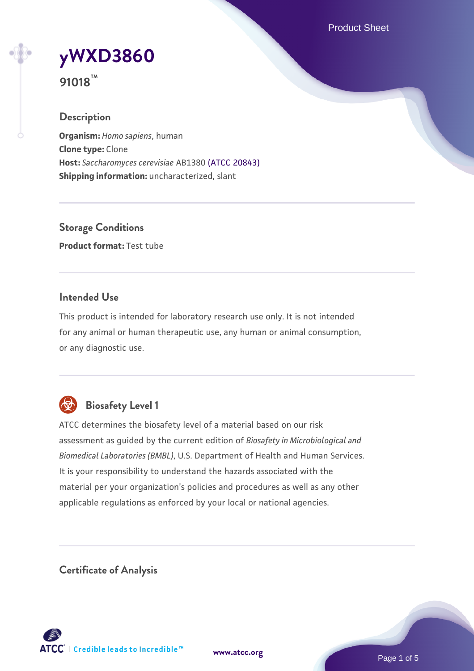Product Sheet

# **[yWXD3860](https://www.atcc.org/products/91018)**

**91018™**

## **Description**

**Organism:** *Homo sapiens*, human **Clone type:** Clone **Host:** *Saccharomyces cerevisiae* AB1380 [\(ATCC 20843\)](https://www.atcc.org/products/20843) **Shipping information:** uncharacterized, slant

**Storage Conditions Product format:** Test tube

## **Intended Use**

This product is intended for laboratory research use only. It is not intended for any animal or human therapeutic use, any human or animal consumption, or any diagnostic use.



# **Biosafety Level 1**

ATCC determines the biosafety level of a material based on our risk assessment as guided by the current edition of *Biosafety in Microbiological and Biomedical Laboratories (BMBL)*, U.S. Department of Health and Human Services. It is your responsibility to understand the hazards associated with the material per your organization's policies and procedures as well as any other applicable regulations as enforced by your local or national agencies.

**Certificate of Analysis**

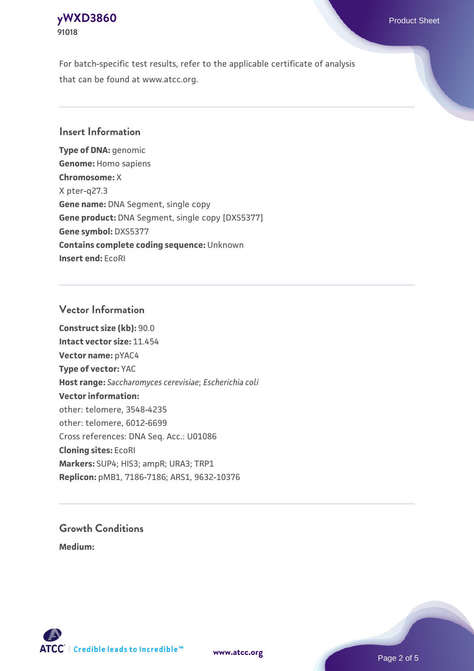## **[yWXD3860](https://www.atcc.org/products/91018)** Product Sheet **91018**

For batch-specific test results, refer to the applicable certificate of analysis that can be found at www.atcc.org.

## **Insert Information**

**Type of DNA:** genomic **Genome:** Homo sapiens **Chromosome:** X X pter-q27.3 **Gene name:** DNA Segment, single copy **Gene product:** DNA Segment, single copy [DXS5377] **Gene symbol:** DXS5377 **Contains complete coding sequence:** Unknown **Insert end:** EcoRI

## **Vector Information**

**Construct size (kb):** 90.0 **Intact vector size:** 11.454 **Vector name:** pYAC4 **Type of vector:** YAC **Host range:** *Saccharomyces cerevisiae*; *Escherichia coli* **Vector information:** other: telomere, 3548-4235 other: telomere, 6012-6699 Cross references: DNA Seq. Acc.: U01086 **Cloning sites:** EcoRI **Markers:** SUP4; HIS3; ampR; URA3; TRP1 **Replicon:** pMB1, 7186-7186; ARS1, 9632-10376

# **Growth Conditions**

**Medium:** 



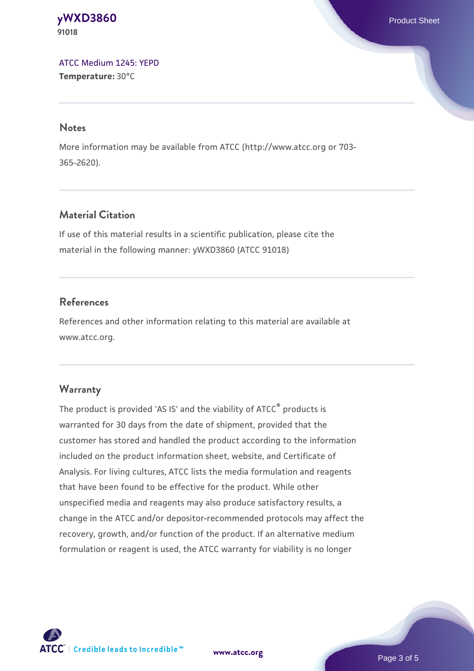**[yWXD3860](https://www.atcc.org/products/91018)** Product Sheet **91018**

[ATCC Medium 1245: YEPD](https://www.atcc.org/-/media/product-assets/documents/microbial-media-formulations/1/2/4/5/atcc-medium-1245.pdf?rev=705ca55d1b6f490a808a965d5c072196) **Temperature:** 30°C

#### **Notes**

More information may be available from ATCC (http://www.atcc.org or 703- 365-2620).

## **Material Citation**

If use of this material results in a scientific publication, please cite the material in the following manner: yWXD3860 (ATCC 91018)

## **References**

References and other information relating to this material are available at www.atcc.org.

### **Warranty**

The product is provided 'AS IS' and the viability of ATCC® products is warranted for 30 days from the date of shipment, provided that the customer has stored and handled the product according to the information included on the product information sheet, website, and Certificate of Analysis. For living cultures, ATCC lists the media formulation and reagents that have been found to be effective for the product. While other unspecified media and reagents may also produce satisfactory results, a change in the ATCC and/or depositor-recommended protocols may affect the recovery, growth, and/or function of the product. If an alternative medium formulation or reagent is used, the ATCC warranty for viability is no longer



**[www.atcc.org](http://www.atcc.org)**

Page 3 of 5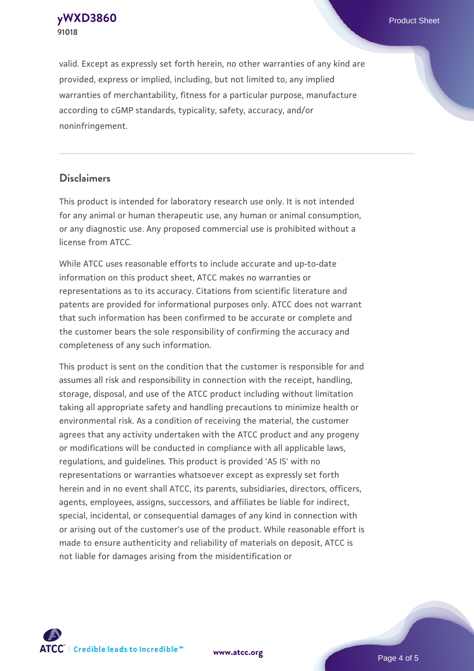**[yWXD3860](https://www.atcc.org/products/91018)** Product Sheet **91018**

valid. Except as expressly set forth herein, no other warranties of any kind are provided, express or implied, including, but not limited to, any implied warranties of merchantability, fitness for a particular purpose, manufacture according to cGMP standards, typicality, safety, accuracy, and/or noninfringement.

#### **Disclaimers**

This product is intended for laboratory research use only. It is not intended for any animal or human therapeutic use, any human or animal consumption, or any diagnostic use. Any proposed commercial use is prohibited without a license from ATCC.

While ATCC uses reasonable efforts to include accurate and up-to-date information on this product sheet, ATCC makes no warranties or representations as to its accuracy. Citations from scientific literature and patents are provided for informational purposes only. ATCC does not warrant that such information has been confirmed to be accurate or complete and the customer bears the sole responsibility of confirming the accuracy and completeness of any such information.

This product is sent on the condition that the customer is responsible for and assumes all risk and responsibility in connection with the receipt, handling, storage, disposal, and use of the ATCC product including without limitation taking all appropriate safety and handling precautions to minimize health or environmental risk. As a condition of receiving the material, the customer agrees that any activity undertaken with the ATCC product and any progeny or modifications will be conducted in compliance with all applicable laws, regulations, and guidelines. This product is provided 'AS IS' with no representations or warranties whatsoever except as expressly set forth herein and in no event shall ATCC, its parents, subsidiaries, directors, officers, agents, employees, assigns, successors, and affiliates be liable for indirect, special, incidental, or consequential damages of any kind in connection with or arising out of the customer's use of the product. While reasonable effort is made to ensure authenticity and reliability of materials on deposit, ATCC is not liable for damages arising from the misidentification or



**[www.atcc.org](http://www.atcc.org)**

Page 4 of 5